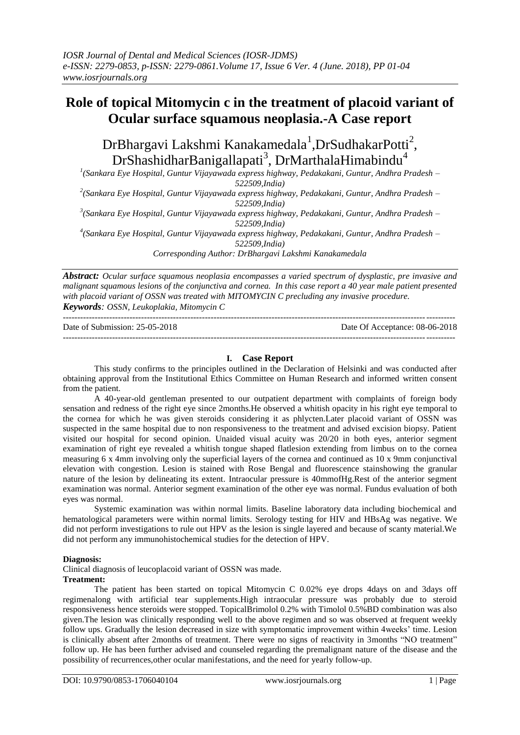# **Role of topical Mitomycin c in the treatment of placoid variant of Ocular surface squamous neoplasia.-A Case report**

DrBhargavi Lakshmi Kanakamedala<sup>1</sup>,DrSudhakarPotti<sup>2</sup>,  $DrShashidharBanigallapati<sup>3</sup>, DrMarthalaHimabindu<sup>4</sup>$ 

*1 (Sankara Eye Hospital, Guntur Vijayawada express highway, Pedakakani, Guntur, Andhra Pradesh – 522509,India)*

*2 (Sankara Eye Hospital, Guntur Vijayawada express highway, Pedakakani, Guntur, Andhra Pradesh – 522509,India)*

*3 (Sankara Eye Hospital, Guntur Vijayawada express highway, Pedakakani, Guntur, Andhra Pradesh – 522509,India)*

*4 (Sankara Eye Hospital, Guntur Vijayawada express highway, Pedakakani, Guntur, Andhra Pradesh – 522509,India)*

*Corresponding Author: DrBhargavi Lakshmi Kanakamedala*

*Abstract: Ocular surface squamous neoplasia encompasses a varied spectrum of dysplastic, pre invasive and malignant squamous lesions of the conjunctiva and cornea. In this case report a 40 year male patient presented with placoid variant of OSSN was treated with MITOMYCIN C precluding any invasive procedure. Keywords: OSSN, Leukoplakia, Mitomycin C*

---------------------------------------------------------------------------------------------------------------------------------------

Date of Submission: 25-05-2018 Date Of Acceptance: 08-06-2018 ---------------------------------------------------------------------------------------------------------------------------------------

## **I. Case Report**

This study confirms to the principles outlined in the Declaration of Helsinki and was conducted after obtaining approval from the Institutional Ethics Committee on Human Research and informed written consent from the patient.

A 40-year-old gentleman presented to our outpatient department with complaints of foreign body sensation and redness of the right eye since 2months.He observed a whitish opacity in his right eye temporal to the cornea for which he was given steroids considering it as phlycten.Later placoid variant of OSSN was suspected in the same hospital due to non responsiveness to the treatment and advised excision biopsy. Patient visited our hospital for second opinion. Unaided visual acuity was 20/20 in both eyes, anterior segment examination of right eye revealed a whitish tongue shaped flatlesion extending from limbus on to the cornea measuring 6 x 4mm involving only the superficial layers of the cornea and continued as 10 x 9mm conjunctival elevation with congestion. Lesion is stained with Rose Bengal and fluorescence stainshowing the granular nature of the lesion by delineating its extent. Intraocular pressure is 40mmofHg.Rest of the anterior segment examination was normal. Anterior segment examination of the other eye was normal. Fundus evaluation of both eyes was normal.

Systemic examination was within normal limits. Baseline laboratory data including biochemical and hematological parameters were within normal limits. Serology testing for HIV and HBsAg was negative. We did not perform investigations to rule out HPV as the lesion is single layered and because of scanty material.We did not perform any immunohistochemical studies for the detection of HPV.

#### **Diagnosis:**

Clinical diagnosis of leucoplacoid variant of OSSN was made.

#### **Treatment:**

The patient has been started on topical Mitomycin C 0.02% eye drops 4days on and 3days off regimenalong with artificial tear supplements.High intraocular pressure was probably due to steroid responsiveness hence steroids were stopped. TopicalBrimolol 0.2% with Timolol 0.5%BD combination was also given.The lesion was clinically responding well to the above regimen and so was observed at frequent weekly follow ups. Gradually the lesion decreased in size with symptomatic improvement within 4weeks' time. Lesion is clinically absent after 2months of treatment. There were no signs of reactivity in 3months "NO treatment" follow up. He has been further advised and counseled regarding the premalignant nature of the disease and the possibility of recurrences,other ocular manifestations, and the need for yearly follow-up.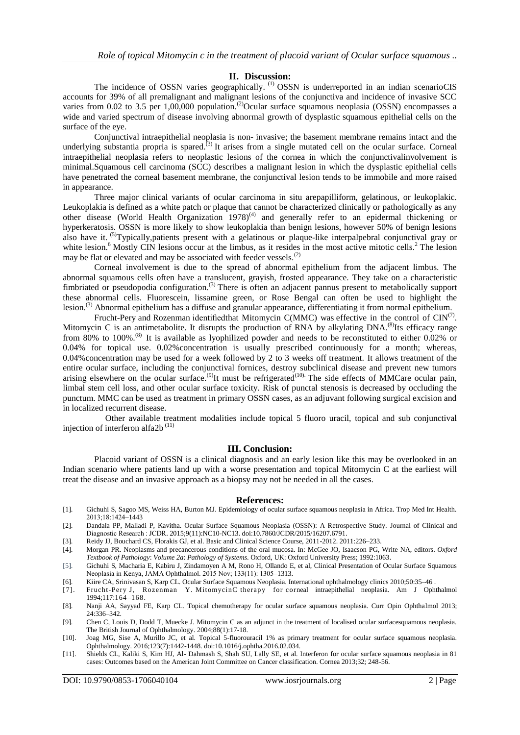### **II. Discussion:**

The incidence of OSSN varies geographically.<sup>(1)</sup> OSSN is underreported in an indian scenarioCIS accounts for 39% of all premalignant and malignant lesions of the conjunctiva and incidence of invasive SCC varies from 0.02 to 3.5 per 1,00,000 population.<sup>(2)</sup>Ocular surface squamous neoplasia (OSSN) encompasses a wide and varied spectrum of disease involving abnormal growth of dysplastic squamous epithelial cells on the surface of the eye.

Conjunctival intraepithelial neoplasia is non- invasive; the basement membrane remains intact and the underlying substantia propria is spared.<sup> $(3)$ </sup> It arises from a single mutated cell on the ocular surface. Corneal intraepithelial neoplasia refers to neoplastic lesions of the cornea in which the conjunctivalinvolvement is minimal.Squamous cell carcinoma (SCC) describes a malignant lesion in which the dysplastic epithelial cells have penetrated the corneal basement membrane, the conjunctival lesion tends to be immobile and more raised in appearance.

Three major clinical variants of ocular carcinoma in situ arepapilliform, gelatinous, or leukoplakic. Leukoplakia is defined as a white patch or plaque that cannot be characterized clinically or pathologically as any other disease (World Health Organization 1978)<sup>(4)</sup> and generally refer to an epidermal thickening or hyperkeratosis. OSSN is more likely to show leukoplakia than benign lesions, however 50% of benign lesions also have it. <sup>(5)</sup>Typically,patients present with a gelatinous or plaque-like interpalpebral conjunctival gray or white lesion.<sup>6</sup> Mostly CIN lesions occur at the limbus, as it resides in the most active mitotic cells.<sup>2</sup> The lesion may be flat or elevated and may be associated with feeder vessels.<sup>(2)</sup>

Corneal involvement is due to the spread of abnormal epithelium from the adjacent limbus. The abnormal squamous cells often have a translucent, grayish, frosted appearance. They take on a characteristic fimbriated or pseudopodia configuration.<sup>(3)</sup> There is often an adjacent pannus present to metabolically support these abnormal cells. Fluorescein, lissamine green, or Rose Bengal can often be used to highlight the lesion.(3) Abnormal epithelium has a diffuse and granular appearance, differentiating it from normal epithelium.

Frucht-Pery and Rozenman identified that Mitomycin C(MMC) was effective in the control of  $\text{CIN}^{(7)}$ . Mitomycin C is an antimetabolite. It disrupts the production of RNA by alkylating DNA.<sup>(8)</sup>Its efficacy range from 80% to 100%.(8) It is available as lyophilized powder and needs to be reconstituted to either 0.02% or 0.04% for topical use. 0.02%concentration is usually prescribed continuously for a month; whereas, 0.04%concentration may be used for a week followed by 2 to 3 weeks off treatment. It allows treatment of the entire ocular surface, including the conjunctival fornices, destroy subclinical disease and prevent new tumors arising elsewhere on the ocular surface.<sup>(9)</sup>It must be refrigerated<sup>(10)</sup> The side effects of MMCare ocular pain, limbal stem cell loss, and other ocular surface toxicity. Risk of punctal stenosis is decreased by occluding the punctum. MMC can be used as treatment in primary OSSN cases, as an adjuvant following surgical excision and in localized recurrent disease.

 Other available treatment modalities include topical 5 fluoro uracil, topical and sub conjunctival injection of interferon alfa2b $(11)$ 

#### **III. Conclusion:**

Placoid variant of OSSN is a clinical diagnosis and an early lesion like this may be overlooked in an Indian scenario where patients land up with a worse presentation and topical Mitomycin C at the earliest will treat the disease and an invasive approach as a biopsy may not be needed in all the cases.

#### **References:**

- [1]. Gichuhi S, Sagoo MS, Weiss HA, Burton MJ. Epidemiology of ocular surface squamous neoplasia in Africa. Trop Med Int Health. 2013;18:1424–1443
- [2]. Dandala PP, Malladi P, Kavitha. Ocular Surface Squamous Neoplasia (OSSN): A Retrospective Study. Journal of Clinical and Diagnostic Research : JCDR. 2015;9(11):NC10-NC13. doi:10.7860/JCDR/2015/16207.6791.
- [3]. Reidy JJ, Bouchard CS, Florakis GJ, et al. Basic and Clinical Science Course, 2011-2012. 2011:226–233.
- [4]. Morgan PR. Neoplasms and precancerous conditions of the oral mucosa. In: McGee JO, Isaacson PG, Write NA, editors. *Oxford Textbook of Pathology*: *Volume 2a*: *Pathology of Systems*. Oxford, UK: Oxford University Press; 1992:1063.
- [5]. Gichuhi S, Macharia E, Kabiru J, Zindamoyen A M, Rono H, Ollando E, et al, Clinical Presentation of Ocular Surface Squamous Neoplasia in Kenya, JAMA Ophthalmol. 2015 Nov; 133(11): 1305–1313.
- [6]. Kiire CA, Srinivasan S, Karp CL. Ocular Surface Squamous Neoplasia. International ophthalmology clinics 2010;50:35–46 .
- [7]. Frucht-Pery J, Rozenman Y. MitomycinC therapy for corneal intraepithelial neoplasia. Am J Ophthalmol 1994;117:164–168.
- [8]. Nanji AA, Sayyad FE, Karp CL. Topical chemotherapy for ocular surface squamous neoplasia. Curr Opin Ophthalmol 2013;  $24.336 - 342.$
- [9]. Chen C, Louis D, Dodd T, Muecke J. Mitomycin C as an adjunct in the treatment of localised ocular surfacesquamous neoplasia. The British Journal of Ophthalmology. 2004;88(1):17-18.
- [10]. Joag MG, Sise A, Murillo JC, et al. Topical 5-fluorouracil 1% as primary treatment for ocular surface squamous neoplasia. Ophthalmology. 2016;123(7):1442-1448. doi:10.1016/j.ophtha.2016.02.034.
- [11]. Shields CL, Kaliki S, Kim HJ, Al- Dahmash S, Shah SU, Lally SE, et al. Interferon for ocular surface squamous neoplasia in 81 cases: Outcomes based on the American Joint Committee on Cancer classification. Cornea 2013;32; 248-56.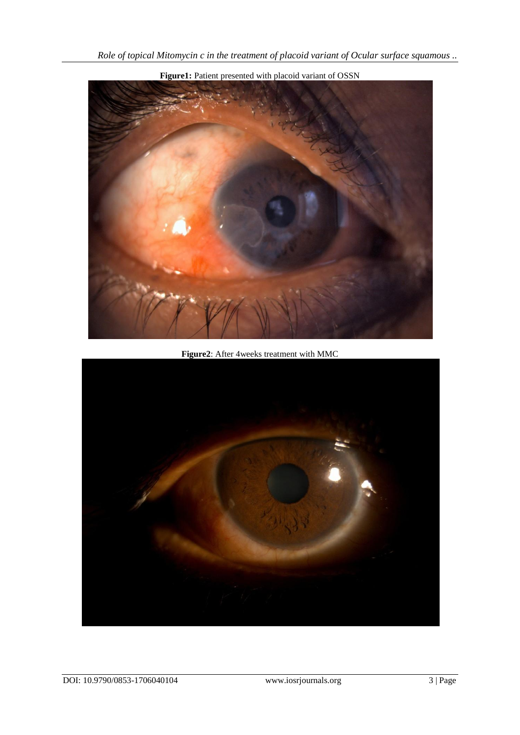

**Figure1:** Patient presented with placoid variant of OSSN

**Figure2**: After 4weeks treatment with MMC